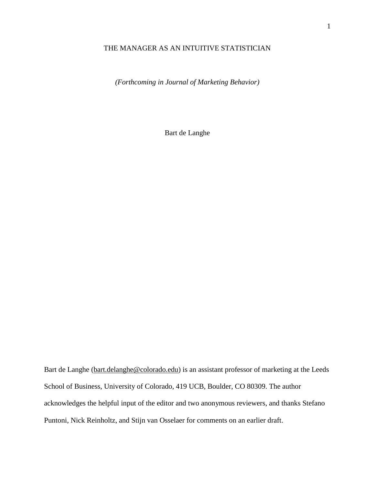### THE MANAGER AS AN INTUITIVE STATISTICIAN

*(Forthcoming in Journal of Marketing Behavior)*

Bart de Langhe

Bart de Langhe [\(bart.delanghe@colorado.edu\)](mailto:bart.delanghe@colorado.edu) is an assistant professor of marketing at the Leeds School of Business, University of Colorado, 419 UCB, Boulder, CO 80309. The author acknowledges the helpful input of the editor and two anonymous reviewers, and thanks Stefano Puntoni, Nick Reinholtz, and Stijn van Osselaer for comments on an earlier draft.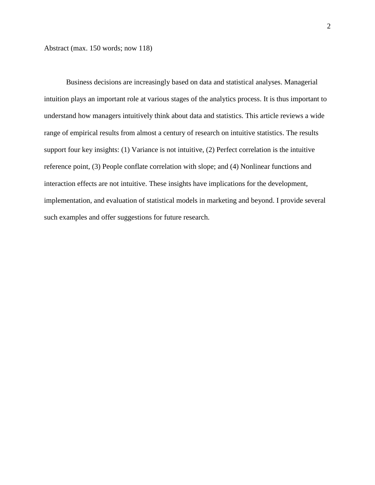Abstract (max. 150 words; now 118)

Business decisions are increasingly based on data and statistical analyses. Managerial intuition plays an important role at various stages of the analytics process. It is thus important to understand how managers intuitively think about data and statistics. This article reviews a wide range of empirical results from almost a century of research on intuitive statistics. The results support four key insights: (1) Variance is not intuitive, (2) Perfect correlation is the intuitive reference point, (3) People conflate correlation with slope; and (4) Nonlinear functions and interaction effects are not intuitive. These insights have implications for the development, implementation, and evaluation of statistical models in marketing and beyond. I provide several such examples and offer suggestions for future research.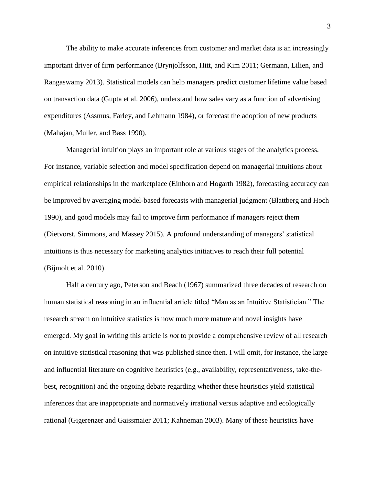The ability to make accurate inferences from customer and market data is an increasingly important driver of firm performance (Brynjolfsson, Hitt, and Kim 2011; Germann, Lilien, and Rangaswamy 2013). Statistical models can help managers predict customer lifetime value based on transaction data (Gupta et al. 2006), understand how sales vary as a function of advertising expenditures (Assmus, Farley, and Lehmann 1984), or forecast the adoption of new products (Mahajan, Muller, and Bass 1990).

Managerial intuition plays an important role at various stages of the analytics process. For instance, variable selection and model specification depend on managerial intuitions about empirical relationships in the marketplace (Einhorn and Hogarth 1982), forecasting accuracy can be improved by averaging model-based forecasts with managerial judgment (Blattberg and Hoch 1990), and good models may fail to improve firm performance if managers reject them (Dietvorst, Simmons, and Massey 2015). A profound understanding of managers' statistical intuitions is thus necessary for marketing analytics initiatives to reach their full potential (Bijmolt et al. 2010).

Half a century ago, Peterson and Beach (1967) summarized three decades of research on human statistical reasoning in an influential article titled "Man as an Intuitive Statistician." The research stream on intuitive statistics is now much more mature and novel insights have emerged. My goal in writing this article is *not* to provide a comprehensive review of all research on intuitive statistical reasoning that was published since then. I will omit, for instance, the large and influential literature on cognitive heuristics (e.g., availability, representativeness, take-thebest, recognition) and the ongoing debate regarding whether these heuristics yield statistical inferences that are inappropriate and normatively irrational versus adaptive and ecologically rational (Gigerenzer and Gaissmaier 2011; Kahneman 2003). Many of these heuristics have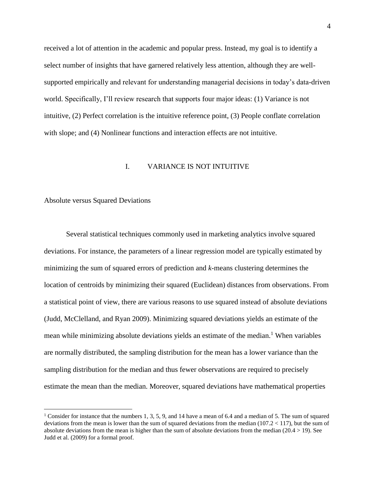received a lot of attention in the academic and popular press. Instead, my goal is to identify a select number of insights that have garnered relatively less attention, although they are wellsupported empirically and relevant for understanding managerial decisions in today's data-driven world. Specifically, I'll review research that supports four major ideas: (1) Variance is not intuitive, (2) Perfect correlation is the intuitive reference point, (3) People conflate correlation with slope; and (4) Nonlinear functions and interaction effects are not intuitive.

#### I. VARIANCE IS NOT INTUITIVE

#### Absolute versus Squared Deviations

 $\overline{a}$ 

Several statistical techniques commonly used in marketing analytics involve squared deviations. For instance, the parameters of a linear regression model are typically estimated by minimizing the sum of squared errors of prediction and *k*-means clustering determines the location of centroids by minimizing their squared (Euclidean) distances from observations. From a statistical point of view, there are various reasons to use squared instead of absolute deviations (Judd, McClelland, and Ryan 2009). Minimizing squared deviations yields an estimate of the mean while minimizing absolute deviations yields an estimate of the median.<sup>1</sup> When variables are normally distributed, the sampling distribution for the mean has a lower variance than the sampling distribution for the median and thus fewer observations are required to precisely estimate the mean than the median. Moreover, squared deviations have mathematical properties

<sup>&</sup>lt;sup>1</sup> Consider for instance that the numbers 1, 3, 5, 9, and 14 have a mean of 6.4 and a median of 5. The sum of squared deviations from the mean is lower than the sum of squared deviations from the median  $(107.2 < 117)$ , but the sum of absolute deviations from the mean is higher than the sum of absolute deviations from the median  $(20.4 \times 19)$ . See Judd et al. (2009) for a formal proof.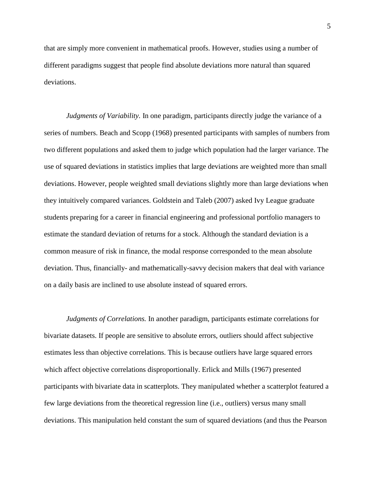that are simply more convenient in mathematical proofs. However, studies using a number of different paradigms suggest that people find absolute deviations more natural than squared deviations.

*Judgments of Variability.* In one paradigm, participants directly judge the variance of a series of numbers. Beach and Scopp (1968) presented participants with samples of numbers from two different populations and asked them to judge which population had the larger variance. The use of squared deviations in statistics implies that large deviations are weighted more than small deviations. However, people weighted small deviations slightly more than large deviations when they intuitively compared variances. Goldstein and Taleb (2007) asked Ivy League graduate students preparing for a career in financial engineering and professional portfolio managers to estimate the standard deviation of returns for a stock. Although the standard deviation is a common measure of risk in finance, the modal response corresponded to the mean absolute deviation. Thus, financially- and mathematically-savvy decision makers that deal with variance on a daily basis are inclined to use absolute instead of squared errors.

*Judgments of Correlations.* In another paradigm, participants estimate correlations for bivariate datasets. If people are sensitive to absolute errors, outliers should affect subjective estimates less than objective correlations. This is because outliers have large squared errors which affect objective correlations disproportionally. Erlick and Mills (1967) presented participants with bivariate data in scatterplots. They manipulated whether a scatterplot featured a few large deviations from the theoretical regression line (i.e., outliers) versus many small deviations. This manipulation held constant the sum of squared deviations (and thus the Pearson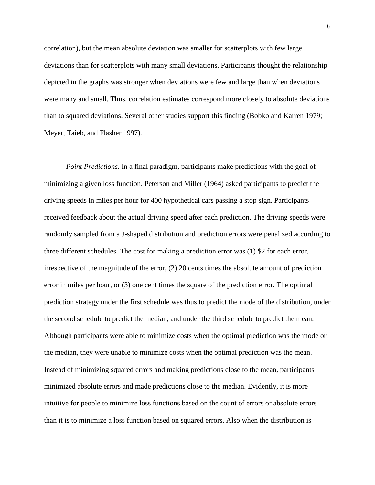correlation), but the mean absolute deviation was smaller for scatterplots with few large deviations than for scatterplots with many small deviations. Participants thought the relationship depicted in the graphs was stronger when deviations were few and large than when deviations were many and small. Thus, correlation estimates correspond more closely to absolute deviations than to squared deviations. Several other studies support this finding (Bobko and Karren 1979; Meyer, Taieb, and Flasher 1997).

*Point Predictions.* In a final paradigm, participants make predictions with the goal of minimizing a given loss function. Peterson and Miller (1964) asked participants to predict the driving speeds in miles per hour for 400 hypothetical cars passing a stop sign. Participants received feedback about the actual driving speed after each prediction. The driving speeds were randomly sampled from a J-shaped distribution and prediction errors were penalized according to three different schedules. The cost for making a prediction error was (1) \$2 for each error, irrespective of the magnitude of the error, (2) 20 cents times the absolute amount of prediction error in miles per hour, or (3) one cent times the square of the prediction error. The optimal prediction strategy under the first schedule was thus to predict the mode of the distribution, under the second schedule to predict the median, and under the third schedule to predict the mean. Although participants were able to minimize costs when the optimal prediction was the mode or the median, they were unable to minimize costs when the optimal prediction was the mean. Instead of minimizing squared errors and making predictions close to the mean, participants minimized absolute errors and made predictions close to the median. Evidently, it is more intuitive for people to minimize loss functions based on the count of errors or absolute errors than it is to minimize a loss function based on squared errors. Also when the distribution is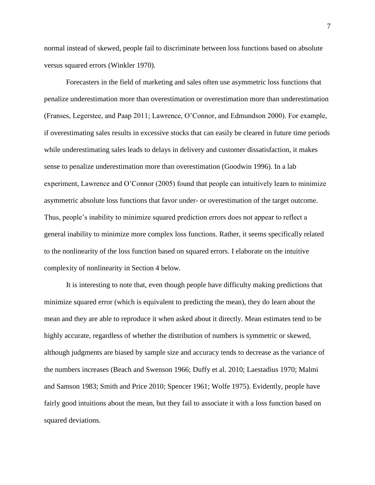normal instead of skewed, people fail to discriminate between loss functions based on absolute versus squared errors (Winkler 1970).

Forecasters in the field of marketing and sales often use asymmetric loss functions that penalize underestimation more than overestimation or overestimation more than underestimation (Franses, Legerstee, and Paap 2011; Lawrence, O'Connor, and Edmundson 2000). For example, if overestimating sales results in excessive stocks that can easily be cleared in future time periods while underestimating sales leads to delays in delivery and customer dissatisfaction, it makes sense to penalize underestimation more than overestimation (Goodwin 1996). In a lab experiment, Lawrence and O'Connor (2005) found that people can intuitively learn to minimize asymmetric absolute loss functions that favor under- or overestimation of the target outcome. Thus, people's inability to minimize squared prediction errors does not appear to reflect a general inability to minimize more complex loss functions. Rather, it seems specifically related to the nonlinearity of the loss function based on squared errors. I elaborate on the intuitive complexity of nonlinearity in Section 4 below.

It is interesting to note that, even though people have difficulty making predictions that minimize squared error (which is equivalent to predicting the mean), they do learn about the mean and they are able to reproduce it when asked about it directly. Mean estimates tend to be highly accurate, regardless of whether the distribution of numbers is symmetric or skewed, although judgments are biased by sample size and accuracy tends to decrease as the variance of the numbers increases (Beach and Swenson 1966; Duffy et al. 2010; Laestadius 1970; Malmi and Samson 1983; Smith and Price 2010; Spencer 1961; Wolfe 1975). Evidently, people have fairly good intuitions about the mean, but they fail to associate it with a loss function based on squared deviations.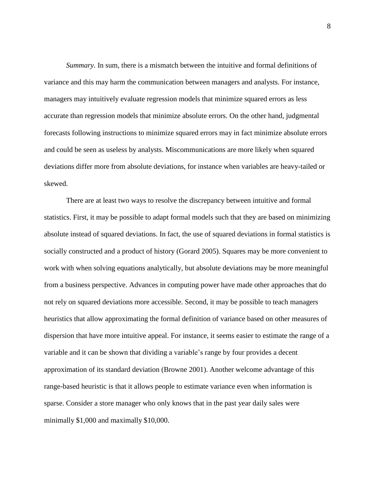*Summary.* In sum, there is a mismatch between the intuitive and formal definitions of variance and this may harm the communication between managers and analysts. For instance, managers may intuitively evaluate regression models that minimize squared errors as less accurate than regression models that minimize absolute errors. On the other hand, judgmental forecasts following instructions to minimize squared errors may in fact minimize absolute errors and could be seen as useless by analysts. Miscommunications are more likely when squared deviations differ more from absolute deviations, for instance when variables are heavy-tailed or skewed.

There are at least two ways to resolve the discrepancy between intuitive and formal statistics. First, it may be possible to adapt formal models such that they are based on minimizing absolute instead of squared deviations. In fact, the use of squared deviations in formal statistics is socially constructed and a product of history (Gorard 2005). Squares may be more convenient to work with when solving equations analytically, but absolute deviations may be more meaningful from a business perspective. Advances in computing power have made other approaches that do not rely on squared deviations more accessible. Second, it may be possible to teach managers heuristics that allow approximating the formal definition of variance based on other measures of dispersion that have more intuitive appeal. For instance, it seems easier to estimate the range of a variable and it can be shown that dividing a variable's range by four provides a decent approximation of its standard deviation (Browne 2001). Another welcome advantage of this range-based heuristic is that it allows people to estimate variance even when information is sparse. Consider a store manager who only knows that in the past year daily sales were minimally \$1,000 and maximally \$10,000.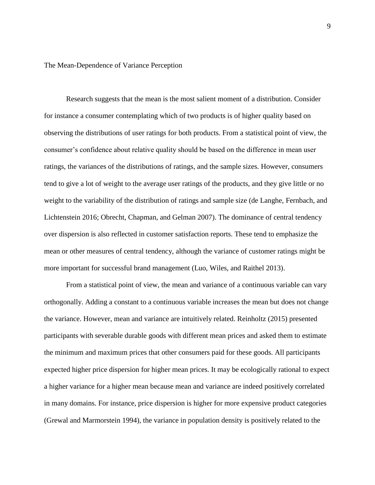#### The Mean-Dependence of Variance Perception

Research suggests that the mean is the most salient moment of a distribution. Consider for instance a consumer contemplating which of two products is of higher quality based on observing the distributions of user ratings for both products. From a statistical point of view, the consumer's confidence about relative quality should be based on the difference in mean user ratings, the variances of the distributions of ratings, and the sample sizes. However, consumers tend to give a lot of weight to the average user ratings of the products, and they give little or no weight to the variability of the distribution of ratings and sample size (de Langhe, Fernbach, and Lichtenstein 2016; Obrecht, Chapman, and Gelman 2007). The dominance of central tendency over dispersion is also reflected in customer satisfaction reports. These tend to emphasize the mean or other measures of central tendency, although the variance of customer ratings might be more important for successful brand management (Luo, Wiles, and Raithel 2013).

From a statistical point of view, the mean and variance of a continuous variable can vary orthogonally. Adding a constant to a continuous variable increases the mean but does not change the variance. However, mean and variance are intuitively related. Reinholtz (2015) presented participants with severable durable goods with different mean prices and asked them to estimate the minimum and maximum prices that other consumers paid for these goods. All participants expected higher price dispersion for higher mean prices. It may be ecologically rational to expect a higher variance for a higher mean because mean and variance are indeed positively correlated in many domains. For instance, price dispersion is higher for more expensive product categories (Grewal and Marmorstein 1994), the variance in population density is positively related to the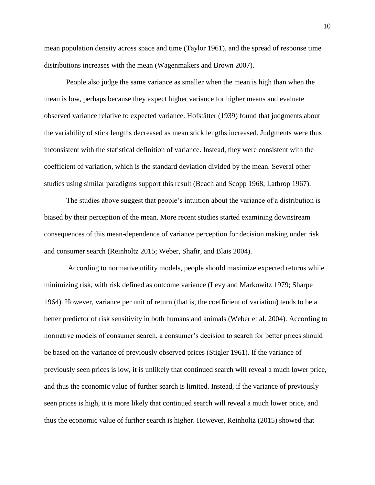mean population density across space and time (Taylor 1961), and the spread of response time distributions increases with the mean (Wagenmakers and Brown 2007).

People also judge the same variance as smaller when the mean is high than when the mean is low, perhaps because they expect higher variance for higher means and evaluate observed variance relative to expected variance. Hofstätter (1939) found that judgments about the variability of stick lengths decreased as mean stick lengths increased. Judgments were thus inconsistent with the statistical definition of variance. Instead, they were consistent with the coefficient of variation, which is the standard deviation divided by the mean. Several other studies using similar paradigms support this result (Beach and Scopp 1968; Lathrop 1967).

The studies above suggest that people's intuition about the variance of a distribution is biased by their perception of the mean. More recent studies started examining downstream consequences of this mean-dependence of variance perception for decision making under risk and consumer search (Reinholtz 2015; Weber, Shafir, and Blais 2004).

According to normative utility models, people should maximize expected returns while minimizing risk, with risk defined as outcome variance (Levy and Markowitz 1979; Sharpe 1964). However, variance per unit of return (that is, the coefficient of variation) tends to be a better predictor of risk sensitivity in both humans and animals (Weber et al. 2004). According to normative models of consumer search, a consumer's decision to search for better prices should be based on the variance of previously observed prices (Stigler 1961). If the variance of previously seen prices is low, it is unlikely that continued search will reveal a much lower price, and thus the economic value of further search is limited. Instead, if the variance of previously seen prices is high, it is more likely that continued search will reveal a much lower price, and thus the economic value of further search is higher. However, Reinholtz (2015) showed that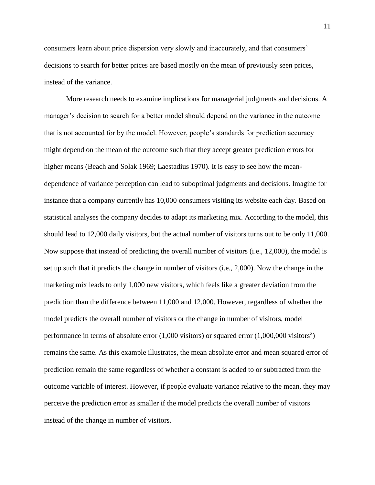consumers learn about price dispersion very slowly and inaccurately, and that consumers' decisions to search for better prices are based mostly on the mean of previously seen prices, instead of the variance.

More research needs to examine implications for managerial judgments and decisions. A manager's decision to search for a better model should depend on the variance in the outcome that is not accounted for by the model. However, people's standards for prediction accuracy might depend on the mean of the outcome such that they accept greater prediction errors for higher means (Beach and Solak 1969; Laestadius 1970). It is easy to see how the meandependence of variance perception can lead to suboptimal judgments and decisions. Imagine for instance that a company currently has 10,000 consumers visiting its website each day. Based on statistical analyses the company decides to adapt its marketing mix. According to the model, this should lead to 12,000 daily visitors, but the actual number of visitors turns out to be only 11,000. Now suppose that instead of predicting the overall number of visitors (i.e., 12,000), the model is set up such that it predicts the change in number of visitors (i.e., 2,000). Now the change in the marketing mix leads to only 1,000 new visitors, which feels like a greater deviation from the prediction than the difference between 11,000 and 12,000. However, regardless of whether the model predicts the overall number of visitors or the change in number of visitors, model performance in terms of absolute error  $(1,000$  visitors) or squared error  $(1,000,000$  visitors<sup>2</sup>) remains the same. As this example illustrates, the mean absolute error and mean squared error of prediction remain the same regardless of whether a constant is added to or subtracted from the outcome variable of interest. However, if people evaluate variance relative to the mean, they may perceive the prediction error as smaller if the model predicts the overall number of visitors instead of the change in number of visitors.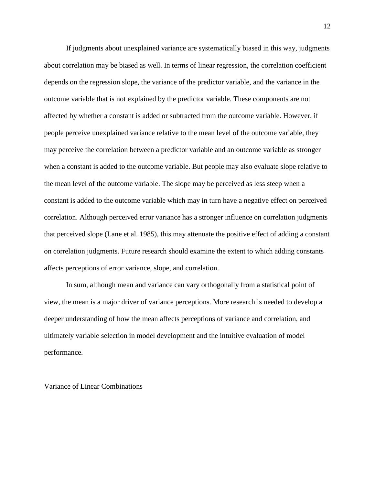If judgments about unexplained variance are systematically biased in this way, judgments about correlation may be biased as well. In terms of linear regression, the correlation coefficient depends on the regression slope, the variance of the predictor variable, and the variance in the outcome variable that is not explained by the predictor variable. These components are not affected by whether a constant is added or subtracted from the outcome variable. However, if people perceive unexplained variance relative to the mean level of the outcome variable, they may perceive the correlation between a predictor variable and an outcome variable as stronger when a constant is added to the outcome variable. But people may also evaluate slope relative to the mean level of the outcome variable. The slope may be perceived as less steep when a constant is added to the outcome variable which may in turn have a negative effect on perceived correlation. Although perceived error variance has a stronger influence on correlation judgments that perceived slope (Lane et al. 1985), this may attenuate the positive effect of adding a constant on correlation judgments. Future research should examine the extent to which adding constants affects perceptions of error variance, slope, and correlation.

In sum, although mean and variance can vary orthogonally from a statistical point of view, the mean is a major driver of variance perceptions. More research is needed to develop a deeper understanding of how the mean affects perceptions of variance and correlation, and ultimately variable selection in model development and the intuitive evaluation of model performance.

Variance of Linear Combinations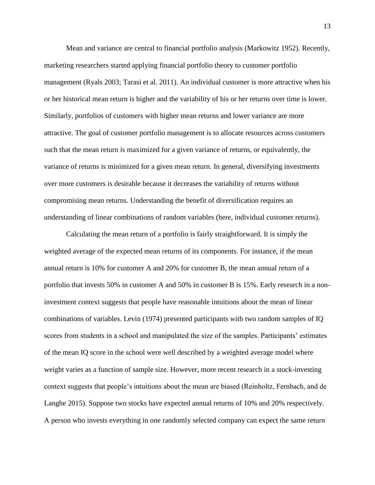Mean and variance are central to financial portfolio analysis (Markowitz 1952). Recently, marketing researchers started applying financial portfolio theory to customer portfolio management (Ryals 2003; Tarasi et al. 2011). An individual customer is more attractive when his or her historical mean return is higher and the variability of his or her returns over time is lower. Similarly, portfolios of customers with higher mean returns and lower variance are more attractive. The goal of customer portfolio management is to allocate resources across customers such that the mean return is maximized for a given variance of returns, or equivalently, the variance of returns is minimized for a given mean return. In general, diversifying investments over more customers is desirable because it decreases the variability of returns without compromising mean returns. Understanding the benefit of diversification requires an understanding of linear combinations of random variables (here, individual customer returns).

Calculating the mean return of a portfolio is fairly straightforward. It is simply the weighted average of the expected mean returns of its components. For instance, if the mean annual return is 10% for customer A and 20% for customer B, the mean annual return of a portfolio that invests 50% in customer A and 50% in customer B is 15%. Early research in a noninvestment context suggests that people have reasonable intuitions about the mean of linear combinations of variables. Levin (1974) presented participants with two random samples of IQ scores from students in a school and manipulated the size of the samples. Participants' estimates of the mean IQ score in the school were well described by a weighted average model where weight varies as a function of sample size. However, more recent research in a stock-investing context suggests that people's intuitions about the mean are biased (Reinholtz, Fernbach, and de Langhe 2015). Suppose two stocks have expected annual returns of 10% and 20% respectively. A person who invests everything in one randomly selected company can expect the same return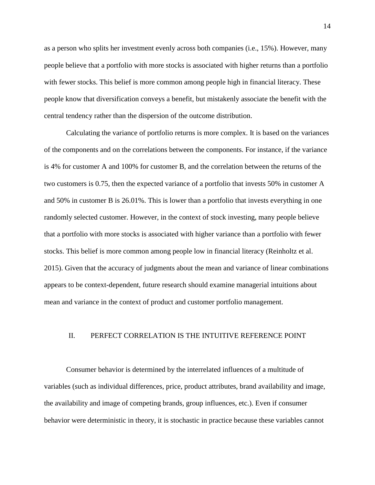as a person who splits her investment evenly across both companies (i.e., 15%). However, many people believe that a portfolio with more stocks is associated with higher returns than a portfolio with fewer stocks. This belief is more common among people high in financial literacy. These people know that diversification conveys a benefit, but mistakenly associate the benefit with the central tendency rather than the dispersion of the outcome distribution.

Calculating the variance of portfolio returns is more complex. It is based on the variances of the components and on the correlations between the components. For instance, if the variance is 4% for customer A and 100% for customer B, and the correlation between the returns of the two customers is 0.75, then the expected variance of a portfolio that invests 50% in customer A and 50% in customer B is 26.01%. This is lower than a portfolio that invests everything in one randomly selected customer. However, in the context of stock investing, many people believe that a portfolio with more stocks is associated with higher variance than a portfolio with fewer stocks. This belief is more common among people low in financial literacy (Reinholtz et al. 2015). Given that the accuracy of judgments about the mean and variance of linear combinations appears to be context-dependent, future research should examine managerial intuitions about mean and variance in the context of product and customer portfolio management.

#### II. PERFECT CORRELATION IS THE INTUITIVE REFERENCE POINT

Consumer behavior is determined by the interrelated influences of a multitude of variables (such as individual differences, price, product attributes, brand availability and image, the availability and image of competing brands, group influences, etc.). Even if consumer behavior were deterministic in theory, it is stochastic in practice because these variables cannot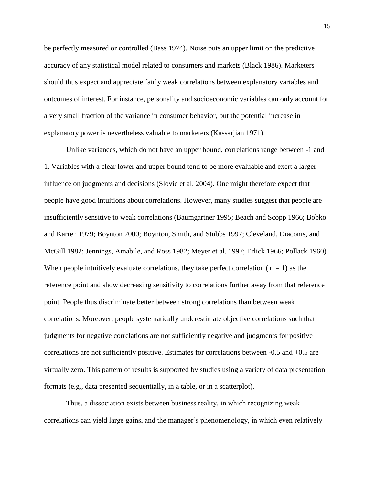be perfectly measured or controlled (Bass 1974). Noise puts an upper limit on the predictive accuracy of any statistical model related to consumers and markets (Black 1986). Marketers should thus expect and appreciate fairly weak correlations between explanatory variables and outcomes of interest. For instance, personality and socioeconomic variables can only account for a very small fraction of the variance in consumer behavior, but the potential increase in explanatory power is nevertheless valuable to marketers (Kassarjian 1971).

Unlike variances, which do not have an upper bound, correlations range between -1 and 1. Variables with a clear lower and upper bound tend to be more evaluable and exert a larger influence on judgments and decisions (Slovic et al. 2004). One might therefore expect that people have good intuitions about correlations. However, many studies suggest that people are insufficiently sensitive to weak correlations (Baumgartner 1995; Beach and Scopp 1966; Bobko and Karren 1979; Boynton 2000; Boynton, Smith, and Stubbs 1997; Cleveland, Diaconis, and McGill 1982; Jennings, Amabile, and Ross 1982; Meyer et al. 1997; Erlick 1966; Pollack 1960). When people intuitively evaluate correlations, they take perfect correlation ( $|r| = 1$ ) as the reference point and show decreasing sensitivity to correlations further away from that reference point. People thus discriminate better between strong correlations than between weak correlations. Moreover, people systematically underestimate objective correlations such that judgments for negative correlations are not sufficiently negative and judgments for positive correlations are not sufficiently positive. Estimates for correlations between -0.5 and +0.5 are virtually zero. This pattern of results is supported by studies using a variety of data presentation formats (e.g., data presented sequentially, in a table, or in a scatterplot).

Thus, a dissociation exists between business reality, in which recognizing weak correlations can yield large gains, and the manager's phenomenology, in which even relatively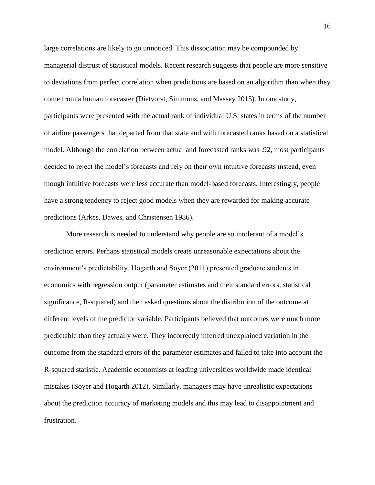large correlations are likely to go unnoticed. This dissociation may be compounded by managerial distrust of statistical models. Recent research suggests that people are more sensitive to deviations from perfect correlation when predictions are based on an algorithm than when they come from a human forecaster (Dietvorst, Simmons, and Massey 2015). In one study, participants were presented with the actual rank of individual U.S. states in terms of the number of airline passengers that departed from that state and with forecasted ranks based on a statistical model. Although the correlation between actual and forecasted ranks was .92, most participants decided to reject the model's forecasts and rely on their own intuitive forecasts instead, even though intuitive forecasts were less accurate than model-based forecasts. Interestingly, people have a strong tendency to reject good models when they are rewarded for making accurate predictions (Arkes, Dawes, and Christensen 1986).

More research is needed to understand why people are so intolerant of a model's prediction errors. Perhaps statistical models create unreasonable expectations about the environment's predictability. Hogarth and Soyer (2011) presented graduate students in economics with regression output (parameter estimates and their standard errors, statistical significance, R-squared) and then asked questions about the distribution of the outcome at different levels of the predictor variable. Participants believed that outcomes were much more predictable than they actually were. They incorrectly inferred unexplained variation in the outcome from the standard errors of the parameter estimates and failed to take into account the R-squared statistic. Academic economists at leading universities worldwide made identical mistakes (Soyer and Hogarth 2012). Similarly, managers may have unrealistic expectations about the prediction accuracy of marketing models and this may lead to disappointment and frustration.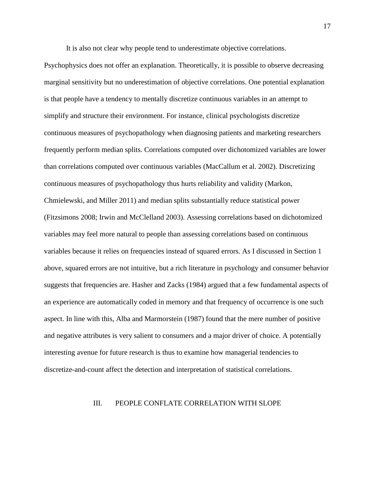It is also not clear why people tend to underestimate objective correlations.

Psychophysics does not offer an explanation. Theoretically, it is possible to observe decreasing marginal sensitivity but no underestimation of objective correlations. One potential explanation is that people have a tendency to mentally discretize continuous variables in an attempt to simplify and structure their environment. For instance, clinical psychologists discretize continuous measures of psychopathology when diagnosing patients and marketing researchers frequently perform median splits. Correlations computed over dichotomized variables are lower than correlations computed over continuous variables (MacCallum et al. 2002). Discretizing continuous measures of psychopathology thus hurts reliability and validity (Markon, Chmielewski, and Miller 2011) and median splits substantially reduce statistical power (Fitzsimons 2008; Irwin and McClelland 2003). Assessing correlations based on dichotomized variables may feel more natural to people than assessing correlations based on continuous variables because it relies on frequencies instead of squared errors. As I discussed in Section 1 above, squared errors are not intuitive, but a rich literature in psychology and consumer behavior suggests that frequencies are. Hasher and Zacks (1984) argued that a few fundamental aspects of an experience are automatically coded in memory and that frequency of occurrence is one such aspect. In line with this, Alba and Marmorstein (1987) found that the mere number of positive and negative attributes is very salient to consumers and a major driver of choice. A potentially interesting avenue for future research is thus to examine how managerial tendencies to discretize-and-count affect the detection and interpretation of statistical correlations.

#### III. PEOPLE CONFLATE CORRELATION WITH SLOPE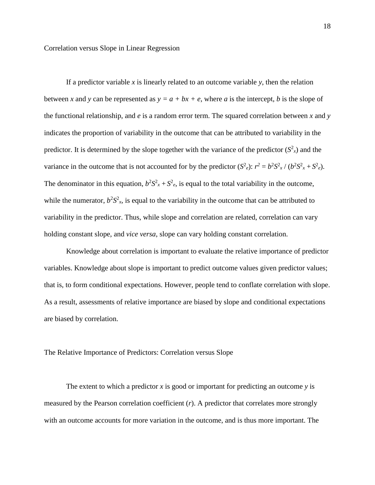Correlation versus Slope in Linear Regression

If a predictor variable  $x$  is linearly related to an outcome variable  $y$ , then the relation between x and y can be represented as  $y = a + bx + e$ , where a is the intercept, b is the slope of the functional relationship, and *e* is a random error term. The squared correlation between *x* and *y* indicates the proportion of variability in the outcome that can be attributed to variability in the predictor. It is determined by the slope together with the variance of the predictor  $(S^2_x)$  and the variance in the outcome that is not accounted for by the predictor  $(S^2_e)$ :  $r^2 = b^2 S_x^2 / (b^2 S_x^2 + S_e^2)$ . The denominator in this equation,  $b^2S^2 + S^2e$ , is equal to the total variability in the outcome, while the numerator,  $b^2 S^2_{\alpha}$ , is equal to the variability in the outcome that can be attributed to variability in the predictor. Thus, while slope and correlation are related, correlation can vary holding constant slope, and *vice versa*, slope can vary holding constant correlation.

Knowledge about correlation is important to evaluate the relative importance of predictor variables. Knowledge about slope is important to predict outcome values given predictor values; that is, to form conditional expectations. However, people tend to conflate correlation with slope. As a result, assessments of relative importance are biased by slope and conditional expectations are biased by correlation.

#### The Relative Importance of Predictors: Correlation versus Slope

The extent to which a predictor *x* is good or important for predicting an outcome *y* is measured by the Pearson correlation coefficient (*r*). A predictor that correlates more strongly with an outcome accounts for more variation in the outcome, and is thus more important. The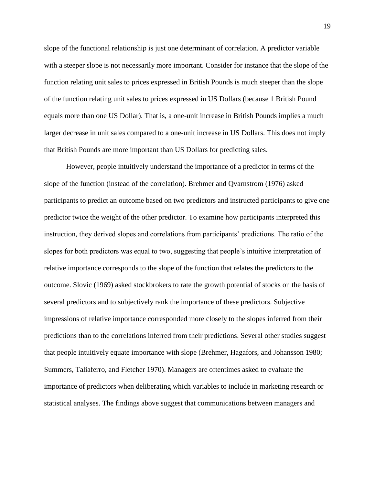slope of the functional relationship is just one determinant of correlation. A predictor variable with a steeper slope is not necessarily more important. Consider for instance that the slope of the function relating unit sales to prices expressed in British Pounds is much steeper than the slope of the function relating unit sales to prices expressed in US Dollars (because 1 British Pound equals more than one US Dollar). That is, a one-unit increase in British Pounds implies a much larger decrease in unit sales compared to a one-unit increase in US Dollars. This does not imply that British Pounds are more important than US Dollars for predicting sales.

However, people intuitively understand the importance of a predictor in terms of the slope of the function (instead of the correlation). Brehmer and Qvarnstrom (1976) asked participants to predict an outcome based on two predictors and instructed participants to give one predictor twice the weight of the other predictor. To examine how participants interpreted this instruction, they derived slopes and correlations from participants' predictions. The ratio of the slopes for both predictors was equal to two, suggesting that people's intuitive interpretation of relative importance corresponds to the slope of the function that relates the predictors to the outcome. Slovic (1969) asked stockbrokers to rate the growth potential of stocks on the basis of several predictors and to subjectively rank the importance of these predictors. Subjective impressions of relative importance corresponded more closely to the slopes inferred from their predictions than to the correlations inferred from their predictions. Several other studies suggest that people intuitively equate importance with slope (Brehmer, Hagafors, and Johansson 1980; Summers, Taliaferro, and Fletcher 1970). Managers are oftentimes asked to evaluate the importance of predictors when deliberating which variables to include in marketing research or statistical analyses. The findings above suggest that communications between managers and

19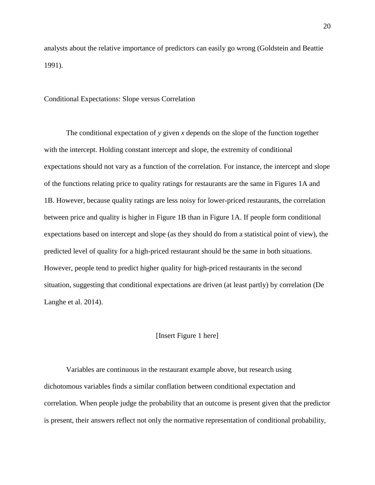analysts about the relative importance of predictors can easily go wrong (Goldstein and Beattie 1991).

#### Conditional Expectations: Slope versus Correlation

The conditional expectation of *y* given *x* depends on the slope of the function together with the intercept. Holding constant intercept and slope, the extremity of conditional expectations should not vary as a function of the correlation. For instance, the intercept and slope of the functions relating price to quality ratings for restaurants are the same in Figures 1A and 1B. However, because quality ratings are less noisy for lower-priced restaurants, the correlation between price and quality is higher in Figure 1B than in Figure 1A. If people form conditional expectations based on intercept and slope (as they should do from a statistical point of view), the predicted level of quality for a high-priced restaurant should be the same in both situations. However, people tend to predict higher quality for high-priced restaurants in the second situation, suggesting that conditional expectations are driven (at least partly) by correlation (De Langhe et al. 2014).

#### [Insert Figure 1 here]

Variables are continuous in the restaurant example above, but research using dichotomous variables finds a similar conflation between conditional expectation and correlation. When people judge the probability that an outcome is present given that the predictor is present, their answers reflect not only the normative representation of conditional probability,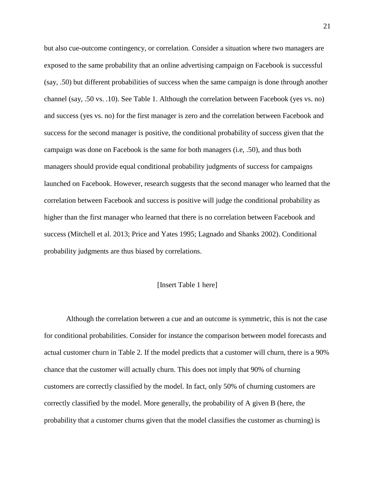but also cue-outcome contingency, or correlation. Consider a situation where two managers are exposed to the same probability that an online advertising campaign on Facebook is successful (say, .50) but different probabilities of success when the same campaign is done through another channel (say, .50 vs. .10). See Table 1. Although the correlation between Facebook (yes vs. no) and success (yes vs. no) for the first manager is zero and the correlation between Facebook and success for the second manager is positive, the conditional probability of success given that the campaign was done on Facebook is the same for both managers (i.e, .50), and thus both managers should provide equal conditional probability judgments of success for campaigns launched on Facebook. However, research suggests that the second manager who learned that the correlation between Facebook and success is positive will judge the conditional probability as higher than the first manager who learned that there is no correlation between Facebook and success (Mitchell et al. 2013; Price and Yates 1995; Lagnado and Shanks 2002). Conditional probability judgments are thus biased by correlations.

#### [Insert Table 1 here]

Although the correlation between a cue and an outcome is symmetric, this is not the case for conditional probabilities. Consider for instance the comparison between model forecasts and actual customer churn in Table 2. If the model predicts that a customer will churn, there is a 90% chance that the customer will actually churn. This does not imply that 90% of churning customers are correctly classified by the model. In fact, only 50% of churning customers are correctly classified by the model. More generally, the probability of A given B (here, the probability that a customer churns given that the model classifies the customer as churning) is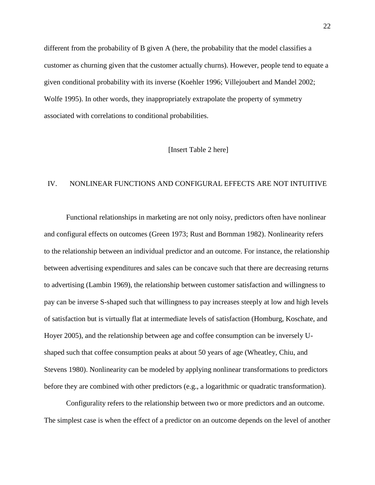different from the probability of B given A (here, the probability that the model classifies a customer as churning given that the customer actually churns). However, people tend to equate a given conditional probability with its inverse (Koehler 1996; Villejoubert and Mandel 2002; Wolfe 1995). In other words, they inappropriately extrapolate the property of symmetry associated with correlations to conditional probabilities.

#### [Insert Table 2 here]

### IV. NONLINEAR FUNCTIONS AND CONFIGURAL EFFECTS ARE NOT INTUITIVE

Functional relationships in marketing are not only noisy, predictors often have nonlinear and configural effects on outcomes (Green 1973; Rust and Bornman 1982). Nonlinearity refers to the relationship between an individual predictor and an outcome. For instance, the relationship between advertising expenditures and sales can be concave such that there are decreasing returns to advertising (Lambin 1969), the relationship between customer satisfaction and willingness to pay can be inverse S-shaped such that willingness to pay increases steeply at low and high levels of satisfaction but is virtually flat at intermediate levels of satisfaction (Homburg, Koschate, and Hoyer 2005), and the relationship between age and coffee consumption can be inversely Ushaped such that coffee consumption peaks at about 50 years of age (Wheatley, Chiu, and Stevens 1980). Nonlinearity can be modeled by applying nonlinear transformations to predictors before they are combined with other predictors (e.g., a logarithmic or quadratic transformation).

Configurality refers to the relationship between two or more predictors and an outcome. The simplest case is when the effect of a predictor on an outcome depends on the level of another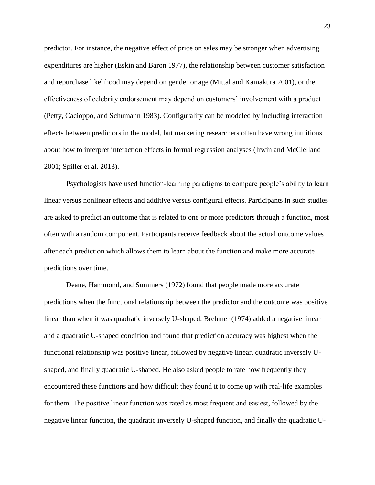predictor. For instance, the negative effect of price on sales may be stronger when advertising expenditures are higher (Eskin and Baron 1977), the relationship between customer satisfaction and repurchase likelihood may depend on gender or age (Mittal and Kamakura 2001), or the effectiveness of celebrity endorsement may depend on customers' involvement with a product (Petty, Cacioppo, and Schumann 1983). Configurality can be modeled by including interaction effects between predictors in the model, but marketing researchers often have wrong intuitions about how to interpret interaction effects in formal regression analyses (Irwin and McClelland 2001; Spiller et al. 2013).

Psychologists have used function-learning paradigms to compare people's ability to learn linear versus nonlinear effects and additive versus configural effects. Participants in such studies are asked to predict an outcome that is related to one or more predictors through a function, most often with a random component. Participants receive feedback about the actual outcome values after each prediction which allows them to learn about the function and make more accurate predictions over time.

Deane, Hammond, and Summers (1972) found that people made more accurate predictions when the functional relationship between the predictor and the outcome was positive linear than when it was quadratic inversely U-shaped. Brehmer (1974) added a negative linear and a quadratic U-shaped condition and found that prediction accuracy was highest when the functional relationship was positive linear, followed by negative linear, quadratic inversely Ushaped, and finally quadratic U-shaped. He also asked people to rate how frequently they encountered these functions and how difficult they found it to come up with real-life examples for them. The positive linear function was rated as most frequent and easiest, followed by the negative linear function, the quadratic inversely U-shaped function, and finally the quadratic U-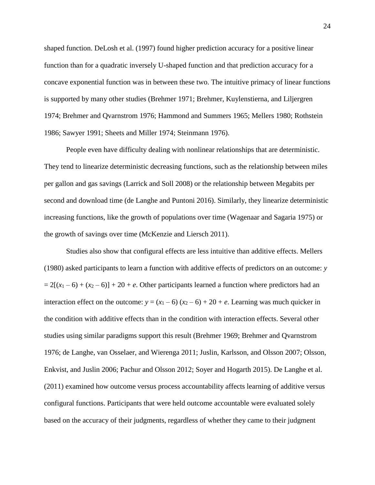shaped function. DeLosh et al. (1997) found higher prediction accuracy for a positive linear function than for a quadratic inversely U-shaped function and that prediction accuracy for a concave exponential function was in between these two. The intuitive primacy of linear functions is supported by many other studies (Brehmer 1971; Brehmer, Kuylenstierna, and Liljergren 1974; Brehmer and Qvarnstrom 1976; Hammond and Summers 1965; Mellers 1980; Rothstein 1986; Sawyer 1991; Sheets and Miller 1974; Steinmann 1976).

People even have difficulty dealing with nonlinear relationships that are deterministic. They tend to linearize deterministic decreasing functions, such as the relationship between miles per gallon and gas savings (Larrick and Soll 2008) or the relationship between Megabits per second and download time (de Langhe and Puntoni 2016). Similarly, they linearize deterministic increasing functions, like the growth of populations over time (Wagenaar and Sagaria 1975) or the growth of savings over time (McKenzie and Liersch 2011).

Studies also show that configural effects are less intuitive than additive effects. Mellers (1980) asked participants to learn a function with additive effects of predictors on an outcome: *y*  $= 2[(x_1-6) + (x_2-6)] + 20 + e$ . Other participants learned a function where predictors had an interaction effect on the outcome:  $y = (x_1 - 6) (x_2 - 6) + 20 + e$ . Learning was much quicker in the condition with additive effects than in the condition with interaction effects. Several other studies using similar paradigms support this result (Brehmer 1969; Brehmer and Qvarnstrom 1976; de Langhe, van Osselaer, and Wierenga 2011; Juslin, Karlsson, and Olsson 2007; Olsson, Enkvist, and Juslin 2006; Pachur and Olsson 2012; Soyer and Hogarth 2015). De Langhe et al. (2011) examined how outcome versus process accountability affects learning of additive versus configural functions. Participants that were held outcome accountable were evaluated solely based on the accuracy of their judgments, regardless of whether they came to their judgment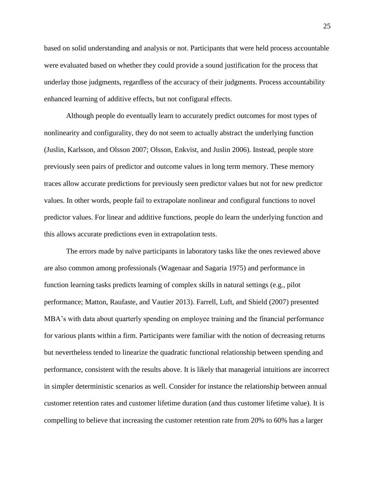based on solid understanding and analysis or not. Participants that were held process accountable were evaluated based on whether they could provide a sound justification for the process that underlay those judgments, regardless of the accuracy of their judgments. Process accountability enhanced learning of additive effects, but not configural effects.

Although people do eventually learn to accurately predict outcomes for most types of nonlinearity and configurality, they do not seem to actually abstract the underlying function (Juslin, Karlsson, and Olsson 2007; Olsson, Enkvist, and Juslin 2006). Instead, people store previously seen pairs of predictor and outcome values in long term memory. These memory traces allow accurate predictions for previously seen predictor values but not for new predictor values. In other words, people fail to extrapolate nonlinear and configural functions to novel predictor values. For linear and additive functions, people do learn the underlying function and this allows accurate predictions even in extrapolation tests.

The errors made by naïve participants in laboratory tasks like the ones reviewed above are also common among professionals (Wagenaar and Sagaria 1975) and performance in function learning tasks predicts learning of complex skills in natural settings (e.g., pilot performance; Matton, Raufaste, and Vautier 2013). Farrell, Luft, and Shield (2007) presented MBA's with data about quarterly spending on employee training and the financial performance for various plants within a firm. Participants were familiar with the notion of decreasing returns but nevertheless tended to linearize the quadratic functional relationship between spending and performance, consistent with the results above. It is likely that managerial intuitions are incorrect in simpler deterministic scenarios as well. Consider for instance the relationship between annual customer retention rates and customer lifetime duration (and thus customer lifetime value). It is compelling to believe that increasing the customer retention rate from 20% to 60% has a larger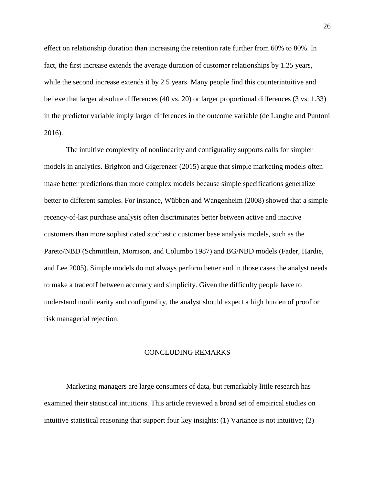effect on relationship duration than increasing the retention rate further from 60% to 80%. In fact, the first increase extends the average duration of customer relationships by 1.25 years, while the second increase extends it by 2.5 years. Many people find this counterintuitive and believe that larger absolute differences (40 vs. 20) or larger proportional differences (3 vs. 1.33) in the predictor variable imply larger differences in the outcome variable (de Langhe and Puntoni 2016).

The intuitive complexity of nonlinearity and configurality supports calls for simpler models in analytics. Brighton and Gigerenzer (2015) argue that simple marketing models often make better predictions than more complex models because simple specifications generalize better to different samples. For instance, Wübben and Wangenheim (2008) showed that a simple recency-of-last purchase analysis often discriminates better between active and inactive customers than more sophisticated stochastic customer base analysis models, such as the Pareto/NBD (Schmittlein, Morrison, and Columbo 1987) and BG/NBD models (Fader, Hardie, and Lee 2005). Simple models do not always perform better and in those cases the analyst needs to make a tradeoff between accuracy and simplicity. Given the difficulty people have to understand nonlinearity and configurality, the analyst should expect a high burden of proof or risk managerial rejection.

#### CONCLUDING REMARKS

Marketing managers are large consumers of data, but remarkably little research has examined their statistical intuitions. This article reviewed a broad set of empirical studies on intuitive statistical reasoning that support four key insights: (1) Variance is not intuitive; (2)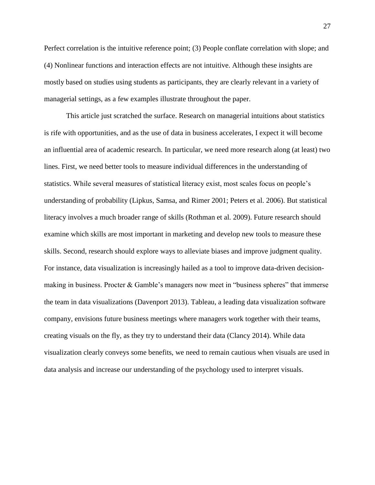Perfect correlation is the intuitive reference point; (3) People conflate correlation with slope; and (4) Nonlinear functions and interaction effects are not intuitive. Although these insights are mostly based on studies using students as participants, they are clearly relevant in a variety of managerial settings, as a few examples illustrate throughout the paper.

This article just scratched the surface. Research on managerial intuitions about statistics is rife with opportunities, and as the use of data in business accelerates, I expect it will become an influential area of academic research. In particular, we need more research along (at least) two lines. First, we need better tools to measure individual differences in the understanding of statistics. While several measures of statistical literacy exist, most scales focus on people's understanding of probability (Lipkus, Samsa, and Rimer 2001; Peters et al. 2006). But statistical literacy involves a much broader range of skills (Rothman et al. 2009). Future research should examine which skills are most important in marketing and develop new tools to measure these skills. Second, research should explore ways to alleviate biases and improve judgment quality. For instance, data visualization is increasingly hailed as a tool to improve data-driven decisionmaking in business. Procter & Gamble's managers now meet in "business spheres" that immerse the team in data visualizations (Davenport 2013). Tableau, a leading data visualization software company, envisions future business meetings where managers work together with their teams, creating visuals on the fly, as they try to understand their data (Clancy 2014). While data visualization clearly conveys some benefits, we need to remain cautious when visuals are used in data analysis and increase our understanding of the psychology used to interpret visuals.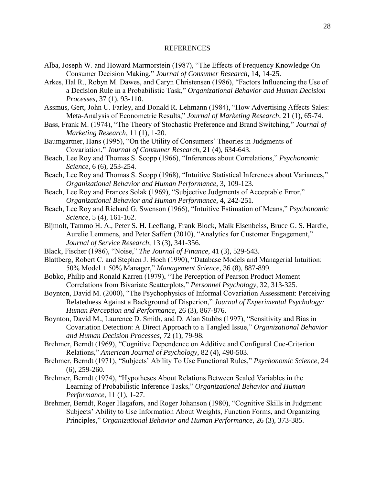#### REFERENCES

- Alba, Joseph W. and Howard Marmorstein (1987), "The Effects of Frequency Knowledge On Consumer Decision Making," *Journal of Consumer Research*, 14, 14-25.
- Arkes, Hal R., Robyn M. Dawes, and Caryn Christensen (1986), "Factors Influencing the Use of a Decision Rule in a Probabilistic Task," *Organizational Behavior and Human Decision Processes,* 37 (1), 93-110.
- Assmus, Gert, John U. Farley, and Donald R. Lehmann (1984), "How Advertising Affects Sales: Meta-Analysis of Econometric Results," *Journal of Marketing Research*, 21 (1), 65-74.
- Bass, Frank M. (1974), "The Theory of Stochastic Preference and Brand Switching," *Journal of Marketing Research*, 11 (1), 1-20.
- Baumgartner, Hans (1995), "On the Utility of Consumers' Theories in Judgments of Covariation," *Journal of Consumer Research*, 21 (4), 634-643.
- Beach, Lee Roy and Thomas S. Scopp (1966), "Inferences about Correlations," *Psychonomic Science*, 6 (6), 253-254.
- Beach, Lee Roy and Thomas S. Scopp (1968), "Intuitive Statistical Inferences about Variances," *Organizational Behavior and Human Performance,* 3, 109-123.
- Beach, Lee Roy and Frances Solak (1969), "Subjective Judgments of Acceptable Error," *Organizational Behavior and Human Performance*, 4, 242-251.
- Beach, Lee Roy and Richard G. Swenson (1966), "Intuitive Estimation of Means," *Psychonomic Science*, 5 (4), 161-162.
- Bijmolt, Tammo H. A., Peter S. H. Leeflang, Frank Block, Maik Eisenbeiss, Bruce G. S. Hardie, Aurelie Lemmens, and Peter Saffert (2010), "Analytics for Customer Engagement," *Journal of Service Research*, 13 (3), 341-356.
- Black, Fischer (1986), "Noise," *The Journal of Finance*, 41 (3), 529-543.
- Blattberg, Robert C. and Stephen J. Hoch (1990), "Database Models and Managerial Intuition: 50% Model + 50% Manager," *Management Science*, 36 (8), 887-899.
- Bobko, Philip and Ronald Karren (1979), "The Perception of Pearson Product Moment Correlations from Bivariate Scatterplots," *Personnel Psychology*, 32, 313-325.
- Boynton, David M. (2000), "The Psychophysics of Informal Covariation Assessment: Perceiving Relatedness Against a Background of Disperion," *Journal of Experimental Psychology: Human Perception and Performance*, 26 (3), 867-876.
- Boynton, David M., Laurence D. Smith, and D. Alan Stubbs (1997), "Sensitivity and Bias in Covariation Detection: A Direct Approach to a Tangled Issue," *Organizational Behavior and Human Decision Processes*, 72 (1), 79-98.
- Brehmer, Berndt (1969), "Cognitive Dependence on Additive and Configural Cue-Criterion Relations," *American Journal of Psychology*, 82 (4), 490-503.
- Brehmer, Berndt (1971), "Subjects' Ability To Use Functional Rules," *Psychonomic Science*, 24 (6), 259-260.
- Brehmer, Berndt (1974), "Hypotheses About Relations Between Scaled Variables in the Learning of Probabilistic Inference Tasks," *Organizational Behavior and Human Performance*, 11 (1), 1-27.
- Brehmer, Berndt, Roger Hagafors, and Roger Johanson (1980), "Cognitive Skills in Judgment: Subjects' Ability to Use Information About Weights, Function Forms, and Organizing Principles," *Organizational Behavior and Human Performance*, 26 (3), 373-385.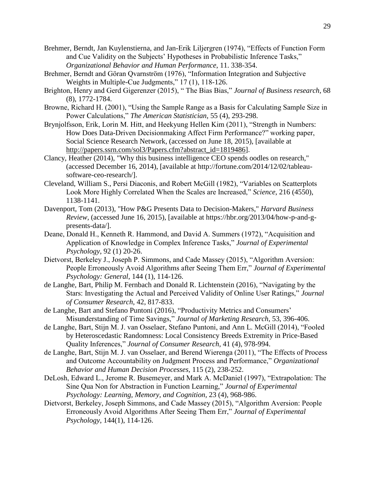- Brehmer, Berndt, Jan Kuylenstierna, and Jan-Erik Liljergren (1974), "Effects of Function Form and Cue Validity on the Subjects' Hypotheses in Probabilistic Inference Tasks," *Organizational Behavior and Human Performance*, 11. 338-354.
- Brehmer, Berndt and Göran Qvarnström (1976), "Information Integration and Subjective Weights in Multiple-Cue Judgments," 17 (1), 118-126.
- Brighton, Henry and Gerd Gigerenzer (2015), " The Bias Bias," *Journal of Business research*, 68 (8), 1772-1784.
- Browne, Richard H. (2001), "Using the Sample Range as a Basis for Calculating Sample Size in Power Calculations," *The American Statistician*, 55 (4), 293-298.
- Brynjolfsson, Erik, Lorin M. Hitt, and Heekyung Hellen Kim (2011), "Strength in Numbers: How Does Data-Driven Decisionmaking Affect Firm Performance?" working paper, Social Science Research Network, (accessed on June 18, 2015), [available at [http://papers.ssrn.com/sol3/Papers.cfm?abstract\\_id=1819486\]](http://papers.ssrn.com/sol3/Papers.cfm?abstract_id=1819486).
- Clancy, Heather (2014), "Why this business intelligence CEO spends oodles on research," (accessed December 16, 2014), [available at http://fortune.com/2014/12/02/tableausoftware-ceo-research/].
- Cleveland, William S., Persi Diaconis, and Robert McGill (1982), "Variables on Scatterplots Look More Highly Correlated When the Scales are Increased," *Science*, 216 (4550), 1138-1141.
- Davenport, Tom (2013), "How P&G Presents Data to Decision-Makers," *Harvard Business Review,* (accessed June 16, 2015), [available at https://hbr.org/2013/04/how-p-and-gpresents-data/].
- Deane, Donald H., Kenneth R. Hammond, and David A. Summers (1972), "Acquisition and Application of Knowledge in Complex Inference Tasks," *Journal of Experimental Psychology*, 92 (1) 20-26.
- Dietvorst, Berkeley J., Joseph P. Simmons, and Cade Massey (2015), "Algorithm Aversion: People Erroneously Avoid Algorithms after Seeing Them Err," *Journal of Experimental Psychology: General*, 144 (1), 114-126.
- de Langhe, Bart, Philip M. Fernbach and Donald R. Lichtenstein (2016), "Navigating by the Stars: Investigating the Actual and Perceived Validity of Online User Ratings," *Journal of Consumer Research*, 42, 817-833.
- de Langhe, Bart and Stefano Puntoni (2016), "Productivity Metrics and Consumers' Misunderstanding of Time Savings," *Journal of Marketing Research*, 53, 396-406.
- de Langhe, Bart, Stijn M. J. van Osselaer, Stefano Puntoni, and Ann L. McGill (2014), "Fooled by Heteroscedastic Randomness: Local Consistency Breeds Extremity in Price-Based Quality Inferences," *Journal of Consumer Research*, 41 (4), 978-994.
- de Langhe, Bart, Stijn M. J. van Osselaer, and Berend Wierenga (2011), "The Effects of Process and Outcome Accountability on Judgment Process and Performance," *Organizational Behavior and Human Decision Processes,* 115 (2), 238-252.
- DeLosh, Edward L., Jerome R. Busemeyer, and Mark A. McDaniel (1997), "Extrapolation: The Sine Qua Non for Abstraction in Function Learning," *Journal of Experimental Psychology: Learning, Memory, and Cognition,* 23 (4), 968-986.
- Dietvorst, Berkeley, Joseph Simmons, and Cade Massey (2015), "Algorithm Aversion: People Erroneously Avoid Algorithms After Seeing Them Err," *Journal of Experimental Psychology*, 144(1), 114-126.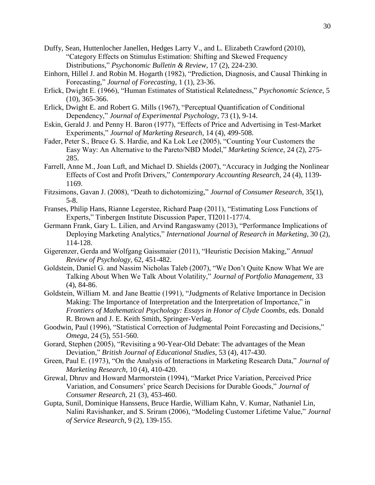- Duffy, Sean, Huttenlocher Janellen, Hedges Larry V., and L. Elizabeth Crawford (2010), "Category Effects on Stimulus Estimation: Shifting and Skewed Frequency Distributions," *Psychonomic Bulletin & Review*, 17 (2), 224-230.
- Einhorn, Hillel J. and Robin M. Hogarth (1982), "Prediction, Diagnosis, and Causal Thinking in Forecasting," *Journal of Forecasting*, 1 (1), 23-36.
- Erlick, Dwight E. (1966), "Human Estimates of Statistical Relatedness," *Psychonomic Science*, 5 (10), 365-366.
- Erlick, Dwight E. and Robert G. Mills (1967), "Perceptual Quantification of Conditional Dependency," *Journal of Experimental Psychology*, 73 (1), 9-14.
- Eskin, Gerald J. and Penny H. Baron (1977), "Effects of Price and Advertising in Test-Market Experiments," *Journal of Marketing Research*, 14 (4), 499-508.
- Fader, Peter S., Bruce G. S. Hardie, and Ka Lok Lee (2005), "Counting Your Customers the Easy Way: An Alternative to the Pareto/NBD Model," *Marketing Science*, 24 (2), 275- 285.
- Farrell, Anne M., Joan Luft, and Michael D. Shields (2007), "Accuracy in Judging the Nonlinear Effects of Cost and Profit Drivers," *Contemporary Accounting Research*, 24 (4), 1139- 1169.
- Fitzsimons, Gavan J. (2008), "Death to dichotomizing," *Journal of Consumer Research*, 35(1), 5-8.
- Franses, Philip Hans, Rianne Legerstee, Richard Paap (2011), "Estimating Loss Functions of Experts," Tinbergen Institute Discussion Paper, TI2011-177/4.
- Germann Frank, Gary L. Lilien, and Arvind Rangaswamy (2013), "Performance Implications of Deploying Marketing Analytics," *International Journal of Research in Marketing*, 30 (2), 114-128.
- Gigerenzer, Gerda and Wolfgang Gaissmaier (2011), "Heuristic Decision Making," *Annual Review of Psychology*, 62, 451-482.
- Goldstein, Daniel G. and Nassim Nicholas Taleb (2007), "We Don't Quite Know What We are Talking About When We Talk About Volatility," *Journal of Portfolio Management*, 33 (4), 84-86.
- Goldstein, William M. and Jane Beattie (1991), "Judgments of Relative Importance in Decision Making: The Importance of Interpretation and the Interpretation of Importance," in *Frontiers of Mathematical Psychology: Essays in Honor of Clyde Coombs*, eds. Donald R. Brown and J. E. Keith Smith, Springer-Verlag.
- Goodwin, Paul (1996), "Statistical Correction of Judgmental Point Forecasting and Decisions," *Omega*, 24 (5), 551-560.
- Gorard, Stephen (2005), "Revisiting a 90-Year-Old Debate: The advantages of the Mean Deviation," *British Journal of Educational Studies*, 53 (4), 417-430.
- Green, Paul E. (1973), "On the Analysis of Interactions in Marketing Research Data," *Journal of Marketing Research*, 10 (4), 410-420.
- Grewal, Dhruv and Howard Marmorstein (1994), "Market Price Variation, Perceived Price Variation, and Consumers' price Search Decisions for Durable Goods," *Journal of Consumer Research*, 21 (3), 453-460.
- Gupta, Sunil, Dominique Hanssens, Bruce Hardie, William Kahn, V. Kumar, Nathaniel Lin, Nalini Ravishanker, and S. Sriram (2006), "Modeling Customer Lifetime Value," *Journal of Service Research*, 9 (2), 139-155.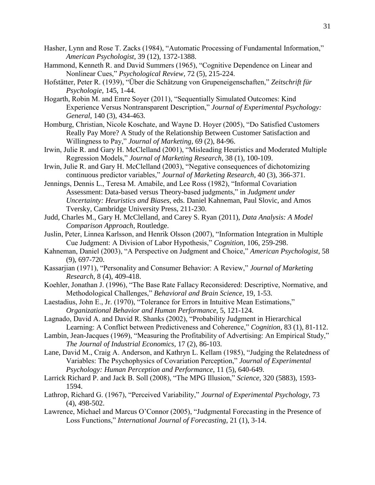- Hasher, Lynn and Rose T. Zacks (1984), "Automatic Processing of Fundamental Information," *American Psychologist*, 39 (12), 1372-1388.
- Hammond, Kenneth R. and David Summers (1965), "Cognitive Dependence on Linear and Nonlinear Cues," *Psychological Review,* 72 (5), 215-224.
- Hofstätter, Peter R. (1939), "Über die Schätzung von Grupeneigenschaften," *Zeitschrift für Psychologie*, 145, 1-44.
- Hogarth, Robin M. and Emre Soyer (2011), "Sequentially Simulated Outcomes: Kind Experience Versus Nontransparent Description," *Journal of Experimental Psychology: General*, 140 (3), 434-463.
- Homburg, Christian, Nicole Koschate, and Wayne D. Hoyer (2005), "Do Satisfied Customers Really Pay More? A Study of the Relationship Between Customer Satisfaction and Willingness to Pay," *Journal of Marketing*, 69 (2), 84-96.
- Irwin, Julie R. and Gary H. McClelland (2001), "Misleading Heuristics and Moderated Multiple Regression Models," *Journal of Marketing Research*, 38 (1), 100-109.
- Irwin, Julie R. and Gary H. McClelland (2003), "Negative consequences of dichotomizing continuous predictor variables," *Journal of Marketing Research*, 40 (3), 366-371.
- Jennings, Dennis L., Teresa M. Amabile, and Lee Ross (1982), "Informal Covariation Assessment: Data-based versus Theory-based judgments," in *Judgment under Uncertainty: Heuristics and Biases,* eds. Daniel Kahneman, Paul Slovic, and Amos Tversky, Cambridge University Press, 211-230.
- Judd, Charles M., Gary H. McClelland, and Carey S. Ryan (2011), *Data Analysis: A Model Comparison Approach*, Routledge.
- Juslin, Peter, Linnea Karlsson, and Henrik Olsson (2007), "Information Integration in Multiple Cue Judgment: A Division of Labor Hypothesis," *Cognition,* 106, 259-298.
- Kahneman, Daniel (2003), "A Perspective on Judgment and Choice," *American Psychologist*, 58 (9), 697-720.
- Kassarjian (1971), "Personality and Consumer Behavior: A Review," *Journal of Marketing Research*, 8 (4), 409-418.
- Koehler, Jonathan J. (1996), "The Base Rate Fallacy Reconsidered: Descriptive, Normative, and Methodological Challenges," *Behavioral and Brain Science*, 19, 1-53.
- Laestadius, John E., Jr. (1970), "Tolerance for Errors in Intuitive Mean Estimations," *Organizational Behavior and Human Performance*, 5, 121-124.
- Lagnado, David A. and David R. Shanks (2002), "Probability Judgment in Hierarchical Learning: A Conflict between Predictiveness and Coherence," *Cognition*, 83 (1), 81-112.
- Lambin, Jean-Jacques (1969), "Measuring the Profitability of Advertising: An Empirical Study," *The Journal of Industrial Economics*, 17 (2), 86-103.
- Lane, David M., Craig A. Anderson, and Kathryn L. Kellam (1985), "Judging the Relatedness of Variables: The Psychophysics of Covariation Perception," *Journal of Experimental Psychology: Human Perception and Performance*, 11 (5), 640-649.
- Larrick Richard P. and Jack B. Soll (2008), "The MPG Illusion," *Science*, 320 (5883), 1593- 1594.
- Lathrop, Richard G. (1967), "Perceived Variability," *Journal of Experimental Psychology*, 73 (4), 498-502.
- Lawrence, Michael and Marcus O'Connor (2005), "Judgmental Forecasting in the Presence of Loss Functions," *International Journal of Forecasting*, 21 (1), 3-14.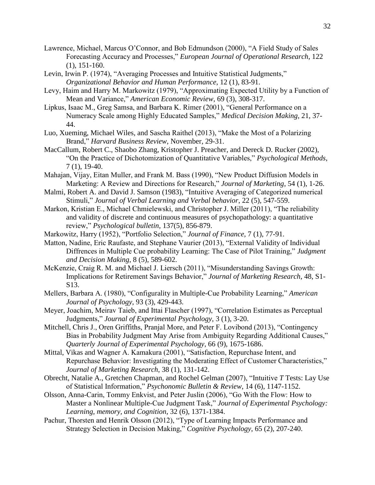- Lawrence, Michael, Marcus O'Connor, and Bob Edmundson (2000), "A Field Study of Sales Forecasting Accuracy and Processes," *European Journal of Operational Research*, 122 (1), 151-160.
- Levin, Irwin P. (1974), "Averaging Processes and Intuitive Statistical Judgments," *Organizational Behavior and Human Performance*, 12 (1), 83-91.
- Levy, Haim and Harry M. Markowitz (1979), "Approximating Expected Utility by a Function of Mean and Variance," *American Economic Review*, 69 (3), 308-317.
- Lipkus, Isaac M., Greg Samsa, and Barbara K. Rimer (2001), "General Performance on a Numeracy Scale among Highly Educated Samples," *Medical Decision Making*, 21, 37- 44.
- Luo, Xueming, Michael Wiles, and Sascha Raithel (2013), "Make the Most of a Polarizing Brand," *Harvard Business Review*, November, 29-31.
- MacCallum, Robert C., Shaobo Zhang, Kristopher J. Preacher, and Dereck D. Rucker (2002), "On the Practice of Dichotomization of Quantitative Variables," *Psychological Methods*, 7 (1), 19-40.
- Mahajan, Vijay, Eitan Muller, and Frank M. Bass (1990), "New Product Diffusion Models in Marketing: A Review and Directions for Research," *Journal of Marketing*, 54 (1), 1-26.
- Malmi, Robert A. and David J. Samson (1983), "Intuitive Averaging of Categorized numerical Stimuli," *Journal of Verbal Learning and Verbal behavior*, 22 (5), 547-559.
- Markon, Kristian E., Michael Chmielewski, and Christopher J. Miller (2011), "The reliability and validity of discrete and continuous measures of psychopathology: a quantitative review," *Psychological bulletin*, 137(5), 856-879.
- Markowitz, Harry (1952), "Portfolio Selection," *Journal of Finance*, 7 (1), 77-91.
- Matton, Nadine, Eric Raufaste, and Stephane Vaurier (2013), "External Validity of Individual Diffrences in Multiple Cue probability Learning: The Case of Pilot Training," *Judgment and Decision Making*, 8 (5), 589-602.
- McKenzie, Craig R. M. and Michael J. Liersch (2011), "Misunderstanding Savings Growth: Implications for Retirement Savings Behavior," *Journal of Marketing Research*, 48, S1- S13.
- Mellers, Barbara A. (1980), "Configurality in Multiple-Cue Probability Learning," *American Journal of Psychology*, 93 (3), 429-443.
- Meyer, Joachim, Meirav Taieb, and Ittai Flascher (1997), "Correlation Estimates as Perceptual Judgments," *Journal of Experimental Psychology,* 3 (1), 3-20.
- Mitchell, Chris J., Oren Griffiths, Pranjal More, and Peter F. Lovibond (2013), "Contingency Bias in Probability Judgment May Arise from Ambiguity Regarding Additional Causes," *Quarterly Journal of Experimental Psychology*, 66 (9), 1675-1686.
- Mittal, Vikas and Wagner A. Kamakura (2001), "Satisfaction, Repurchase Intent, and Repurchase Behavior: Investigating the Moderating Effect of Customer Characteristics," *Journal of Marketing Research*, 38 (1), 131-142.
- Obrecht, Natalie A., Gretchen Chapman, and Rochel Gelman (2007), "Intuitive *T* Tests: Lay Use of Statistical Information," *Psychonomic Bulletin & Review*, 14 (6), 1147-1152.
- Olsson, Anna-Carin, Tommy Enkvist, and Peter Juslin (2006), "Go With the Flow: How to Master a Nonlinear Multiple-Cue Judgment Task," *Journal of Experimental Psychology: Learning, memory, and Cognition*, 32 (6), 1371-1384.
- Pachur, Thorsten and Henrik Olsson (2012), "Type of Learning Impacts Performance and Strategy Selection in Decision Making," *Cognitive Psychology*, 65 (2), 207-240.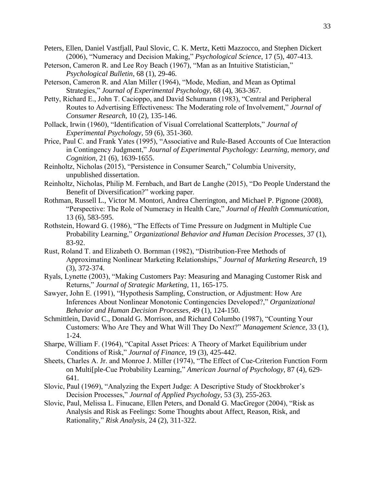- Peters, Ellen, Daniel Vastfjall, Paul Slovic, C. K. Mertz, Ketti Mazzocco, and Stephen Dickert (2006), "Numeracy and Decision Making," *Psychological Science*, 17 (5), 407-413.
- Peterson, Cameron R. and Lee Roy Beach (1967), "Man as an Intuitive Statistician," *Psychological Bulletin*, 68 (1), 29-46.
- Peterson, Cameron R. and Alan Miller (1964), "Mode, Median, and Mean as Optimal Strategies," *Journal of Experimental Psychology*, 68 (4), 363-367.
- Petty, Richard E., John T. Cacioppo, and David Schumann (1983), "Central and Peripheral Routes to Advertising Effectiveness: The Moderating role of Involvement," *Journal of Consumer Research*, 10 (2), 135-146.
- Pollack, Irwin (1960), "Identification of Visual Correlational Scatterplots," *Journal of Experimental Psychology*, 59 (6), 351-360.
- Price, Paul C. and Frank Yates (1995), "Associative and Rule-Based Accounts of Cue Interaction in Contingency Judgment," *Journal of Experimental Psychology: Learning, memory, and Cognition*, 21 (6), 1639-1655.
- Reinholtz, Nicholas (2015), "Persistence in Consumer Search," Columbia University, unpublished dissertation.
- Reinholtz, Nicholas, Philip M. Fernbach, and Bart de Langhe (2015), "Do People Understand the Benefit of Diversification?" working paper.
- Rothman, Russell L., Victor M. Montori, Andrea Cherrington, and Michael P. Pignone (2008), "Perspective: The Role of Numeracy in Health Care," *Journal of Health Communication*, 13 (6), 583-595.
- Rothstein, Howard G. (1986), "The Effects of Time Pressure on Judgment in Multiple Cue Probability Learning," *Organizational Behavior and Human Decision Processes*, 37 (1), 83-92.
- Rust, Roland T. and Elizabeth O. Bornman (1982), "Distribution-Free Methods of Approximating Nonlinear Marketing Relationships," *Journal of Marketing Research*, 19 (3), 372-374.
- Ryals, Lynette (2003), "Making Customers Pay: Measuring and Managing Customer Risk and Returns," *Journal of Strategic Marketing*, 11, 165-175.
- Sawyer, John E. (1991), "Hypothesis Sampling, Construction, or Adjustment: How Are Inferences About Nonlinear Monotonic Contingencies Developed?," *Organizational Behavior and Human Decision Processes*, 49 (1), 124-150.
- Schmittlein, David C., Donald G. Morrison, and Richard Columbo (1987), "Counting Your Customers: Who Are They and What Will They Do Next?" *Management Science*, 33 (1), 1-24.
- Sharpe, William F. (1964), "Capital Asset Prices: A Theory of Market Equilibrium under Conditions of Risk," *Journal of Finance*, 19 (3), 425-442.
- Sheets, Charles A. Jr. and Monroe J. Miller (1974), "The Effect of Cue-Criterion Function Form on Multi[ple-Cue Probability Learning," *American Journal of Psychology*, 87 (4), 629- 641.
- Slovic, Paul (1969), "Analyzing the Expert Judge: A Descriptive Study of Stockbroker's Decision Processes," *Journal of Applied Psychology*, 53 (3), 255-263.
- Slovic, Paul, Melissa L. Finucane, Ellen Peters, and Donald G. MacGregor (2004), "Risk as Analysis and Risk as Feelings: Some Thoughts about Affect, Reason, Risk, and Rationality," *Risk Analysis*, 24 (2), 311-322.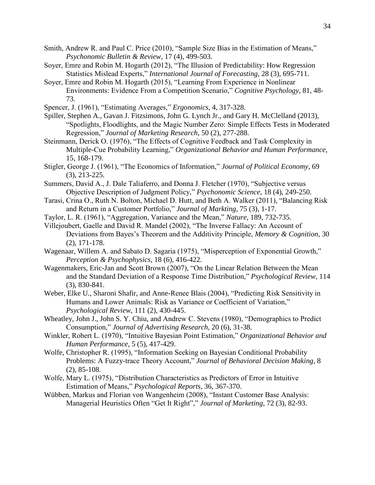- Smith, Andrew R. and Paul C. Price (2010), "Sample Size Bias in the Estimation of Means," *Psychonomic Bulletin & Review*, 17 (4), 499-503.
- Soyer, Emre and Robin M. Hogarth (2012), "The Illusion of Predictability: How Regression Statistics Mislead Experts," *International Journal of Forecasting*, 28 (3), 695-711.
- Soyer, Emre and Robin M. Hogarth (2015), "Learning From Experience in Nonlinear Environments: Evidence From a Competition Scenario," *Cognitive Psychology*, 81, 48- 73.
- Spencer, J. (1961), "Estimating Averages," *Ergonomics*, 4, 317-328.
- Spiller, Stephen A., Gavan J. Fitzsimons, John G. Lynch Jr., and Gary H. McClelland (2013), "Spotlights, Floodlights, and the Magic Number Zero: Simple Effects Tests in Moderated Regression," *Journal of Marketing Research*, 50 (2), 277-288.
- Steinmann, Derick O. (1976), "The Effects of Cognitive Feedback and Task Complexity in Multiple-Cue Probability Learning," *Organizational Behavior and Human Performance*, 15, 168-179.
- Stigler, George J. (1961), "The Economics of Information," *Journal of Political Economy*, 69 (3), 213-225.
- Summers, David A., J. Dale Taliaferro, and Donna J. Fletcher (1970), "Subjective versus Objective Description of Judgment Policy," *Psychonomic Science*, 18 (4), 249-250.
- Tarasi, Crina O., Ruth N. Bolton, Michael D. Hutt, and Beth A. Walker (2011), "Balancing Risk and Return in a Customer Portfolio," *Journal of Markting*, 75 (3), 1-17.
- Taylor, L. R. (1961), "Aggregation, Variance and the Mean," *Nature*, 189, 732-735.
- Villejoubert, Gaelle and David R. Mandel (2002), "The Inverse Fallacy: An Account of Deviations from Bayes's Theorem and the Additivity Principle, *Memory & Cognition,* 30 (2), 171-178.
- Wagenaar, Willem A. and Sabato D. Sagaria (1975), "Misperception of Exponential Growth," *Perception & Psychophysics*, 18 (6), 416-422.
- Wagenmakers, Eric-Jan and Scott Brown (2007), "On the Linear Relation Between the Mean and the Standard Deviation of a Response Time Distribution," *Psychological Review*, 114 (3), 830-841.
- Weber, Elke U., Sharoni Shafir, and Anne-Renee Blais (2004), "Predicting Risk Sensitivity in Humans and Lower Animals: Risk as Variance or Coefficient of Variation," *Psychological Review*, 111 (2), 430-445.
- Wheatley, John J., John S. Y. Chiu, and Andrew C. Stevens (1980), "Demographics to Predict Consumption," *Journal of Advertising Research,* 20 (6), 31-38.
- Winkler, Robert L. (1970), "Intuitive Bayesian Point Estimation," *Organizational Behavior and Human Performance*, 5 (5), 417-429.
- Wolfe, Christopher R. (1995), "Information Seeking on Bayesian Conditional Probability Problems: A Fuzzy-trace Theory Account," *Journal of Behavioral Decision Making*, 8 (2), 85-108.
- Wolfe, Mary L. (1975), "Distribution Characteristics as Predictors of Error in Intuitive Estimation of Means," *Psychological Reports*, 36, 367-370.
- Wübben, Markus and Florian von Wangenheim (2008), "Instant Customer Base Analysis: Managerial Heuristics Often "Get It Right"," *Journal of Marketing*, 72 (3), 82-93.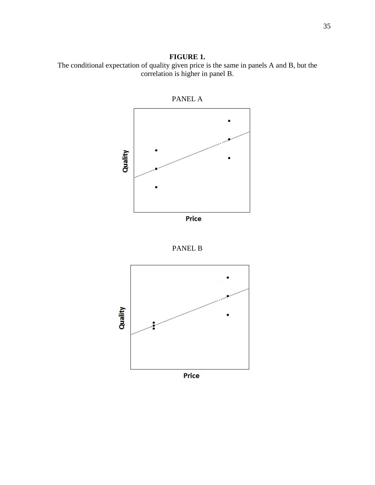# **FIGURE 1.** The conditional expectation of quality given price is the same in panels A and B, but the correlation is higher in panel B.





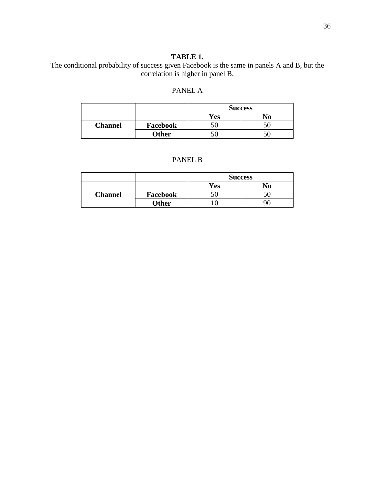# **TABLE 1.**

The conditional probability of success given Facebook is the same in panels A and B, but the correlation is higher in panel B.

## PANEL A

|                |              | <b>Success</b> |  |
|----------------|--------------|----------------|--|
|                |              | Yes            |  |
| <b>Channel</b> | Facebook     |                |  |
|                | <b>Other</b> |                |  |

# PANEL B

|                |              | <b>Success</b> |    |
|----------------|--------------|----------------|----|
|                |              | Yes            | NO |
| <b>Channel</b> | Facebook     | J١             |    |
|                | <b>Other</b> |                |    |